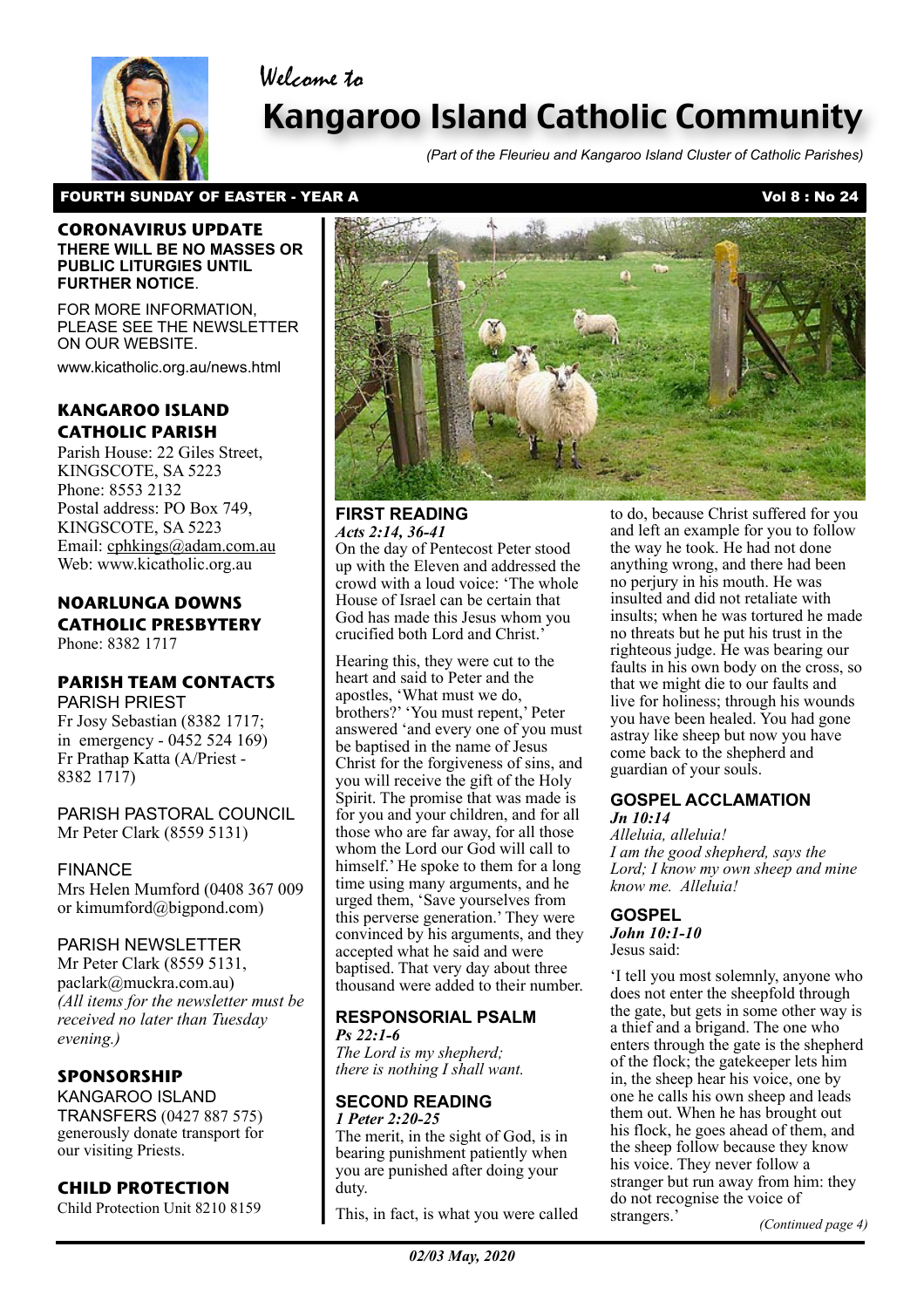Welcome to



# Kangaroo Island Catholic Community

*(Part of the Fleurieu and Kangaroo Island Cluster of Catholic Parishes)*

## FOURTH SUNDAY OF EASTER - YEAR A Vol 8 : No 24

#### **CORONAVIRUS UPDATE THERE WILL BE NO MASSES OR PUBLIC LITURGIES UNTIL FURTHER NOTICE**.

FOR MORE INFORMATION, PLEASE SEE THE NEWSLETTER ON OUR WEBSITE.

www.kicatholic.org.au/news.html

## **KANGAROO ISLAND CATHOLIC PARISH**

Parish House: 22 Giles Street, KINGSCOTE, SA 5223 Phone: 8553 2132 Postal address: PO Box 749, KINGSCOTE, SA 5223 Email: cphkings@adam.com.au Web: www.kicatholic.org.au

## **NOARLUNGA DOWNS CATHOLIC PRESBYTERY**

Phone: 8382 1717

## **PARISH TEAM CONTACTS**

PARISH PRIEST Fr Josy Sebastian (8382 1717; in emergency - 0452 524 169) Fr Prathap Katta (A/Priest - 8382 1717)

PARISH PASTORAL COUNCIL Mr Peter Clark (8559 5131)

## FINANCE

Mrs Helen Mumford (0408 367 009 or kimumford@bigpond.com)

### PARISH NEWSLETTER

Mr Peter Clark (8559 5131, paclark@muckra.com.au) *(All items for the newsletter must be received no later than Tuesday evening.)*

## **SPONSORSHIP**

KANGAROO ISLAND TRANSFERS (0427 887 575) generously donate transport for our visiting Priests.

## **CHILD PROTECTION**

Child Protection Unit 8210 8159



**FIRST READING** *Acts 2:14, 36-41* On the day of Pentecost Peter stood up with the Eleven and addressed the crowd with a loud voice: 'The whole House of Israel can be certain that God has made this Jesus whom you crucified both Lord and Christ.'

Hearing this, they were cut to the heart and said to Peter and the apostles, 'What must we do, brothers?' 'You must repent,' Peter answered 'and every one of you must be baptised in the name of Jesus Christ for the forgiveness of sins, and you will receive the gift of the Holy Spirit. The promise that was made is for you and your children, and for all those who are far away, for all those whom the Lord our God will call to himself.' He spoke to them for a long time using many arguments, and he urged them, 'Save yourselves from this perverse generation.' They were convinced by his arguments, and they accepted what he said and were baptised. That very day about three thousand were added to their number.

## **RESPONSORIAL PSALM**

*Ps 22:1-6 The Lord is my shepherd; there is nothing I shall want.*

#### **SECOND READING** *1 Peter 2:20-25*

The merit, in the sight of God, is in bearing punishment patiently when you are punished after doing your duty.

This, in fact, is what you were called

to do, because Christ suffered for you and left an example for you to follow the way he took. He had not done anything wrong, and there had been no perjury in his mouth. He was insulted and did not retaliate with insults; when he was tortured he made no threats but he put his trust in the righteous judge. He was bearing our faults in his own body on the cross, so that we might die to our faults and live for holiness; through his wounds you have been healed. You had gone astray like sheep but now you have come back to the shepherd and guardian of your souls.

#### **GOSPEL ACCLAMATION** *Jn 10:14*

*Alleluia, alleluia! I am the good shepherd, says the Lord; I know my own sheep and mine know me. Alleluia!*

## **GOSPEL**

*John 10:1-10* Jesus said:

'I tell you most solemnly, anyone who does not enter the sheepfold through the gate, but gets in some other way is a thief and a brigand. The one who enters through the gate is the shepherd of the flock; the gatekeeper lets him in, the sheep hear his voice, one by one he calls his own sheep and leads them out. When he has brought out his flock, he goes ahead of them, and the sheep follow because they know his voice. They never follow a stranger but run away from him: they do not recognise the voice of strangers.'

*(Continued page 4)*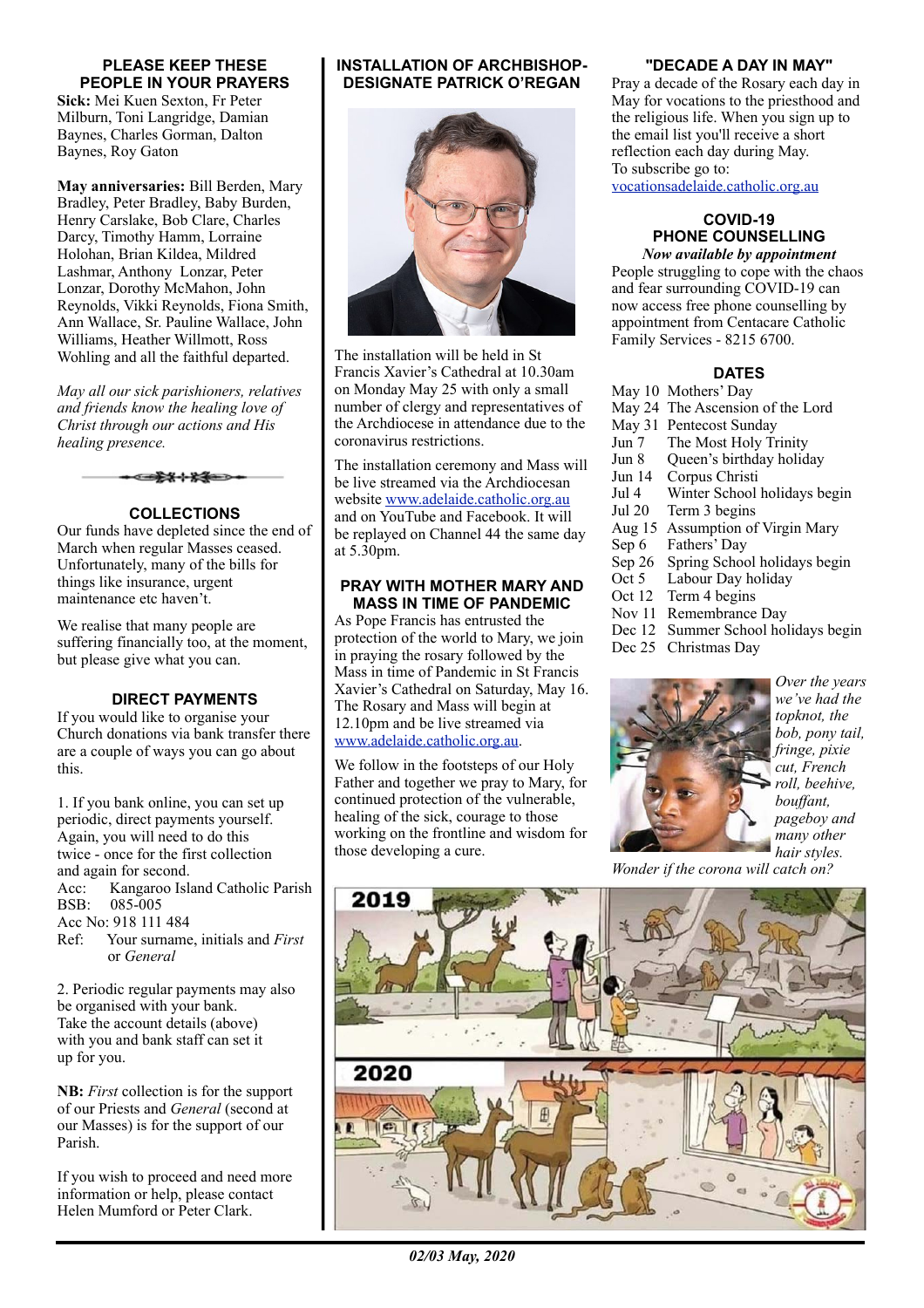#### **PLEASE KEEP THESE PEOPLE IN YOUR PRAYERS**

**Sick:** Mei Kuen Sexton, Fr Peter Milburn, Toni Langridge, Damian Baynes, Charles Gorman, Dalton Baynes, Roy Gaton

**May anniversaries:** Bill Berden, Mary Bradley, Peter Bradley, Baby Burden, Henry Carslake, Bob Clare, Charles Darcy, Timothy Hamm, Lorraine Holohan, Brian Kildea, Mildred Lashmar, Anthony Lonzar, Peter Lonzar, Dorothy McMahon, John Reynolds, Vikki Reynolds, Fiona Smith, Ann Wallace, Sr. Pauline Wallace, John Williams, Heather Willmott, Ross Wohling and all the faithful departed.

*May all our sick parishioners, relatives and friends know the healing love of Christ through our actions and His healing presence.*



#### **COLLECTIONS**

Our funds have depleted since the end of March when regular Masses ceased. Unfortunately, many of the bills for things like insurance, urgent maintenance etc haven't.

We realise that many people are suffering financially too, at the moment, but please give what you can.

#### **DIRECT PAYMENTS**

If you would like to organise your Church donations via bank transfer there are a couple of ways you can go about this.

1. If you bank online, you can set up periodic, direct payments yourself. Again, you will need to do this twice - once for the first collection and again for second. Acc: Kangaroo Island Catholic Parish BSB: 085-005 Acc No: 918 111 484 Ref: Your surname, initials and *First* or *General*

2. Periodic regular payments may also be organised with your bank. Take the account details (above) with you and bank staff can set it up for you.

**NB:** *First* collection is for the support of our Priests and *General* (second at our Masses) is for the support of our Parish.

If you wish to proceed and need more information or help, please contact Helen Mumford or Peter Clark.

#### **INSTALLATION OF ARCHBISHOP-DESIGNATE PATRICK O'REGAN**



The installation will be held in St Francis Xavier's Cathedral at 10.30am on Monday May 25 with only a small number of clergy and representatives of the Archdiocese in attendance due to the coronavirus restrictions.

The installation ceremony and Mass will be live streamed via the Archdiocesan website [www.adelaide.catholic.org.au](http://www.adelaide.catholic.org.au) and on YouTube and Facebook. It will be replayed on Channel 44 the same day at  $5.\overline{3}0$ pm.

#### **PRAY WITH MOTHER MARY AND MASS IN TIME OF PANDEMIC**

As Pope Francis has entrusted the protection of the world to Mary, we join in praying the rosary followed by the Mass in time of Pandemic in St Francis Xavier's Cathedral on Saturday, May 16. The Rosary and Mass will begin at 12.10pm and be live streamed via [www.adelaide.catholic.org.au.](http://www.adelaide.catholic.org.au)

We follow in the footsteps of our Holy Father and together we pray to Mary, for continued protection of the vulnerable, healing of the sick, courage to those working on the frontline and wisdom for those developing a cure.

#### **"DECADE A DAY IN MAY"**

Pray a decade of the Rosary each day in May for vocations to the priesthood and the religious life. When you sign up to the email list you'll receive a short reflection each day during May. To subscribe go to:

[vocationsadelaide.catholic.org.au](http://vocationsadelaide.catholic.org.au)

## **COVID-19 PHONE COUNSELLING**

*Now available by appointment* People struggling to cope with the chaos and fear surrounding COVID-19 can now access free phone counselling by appointment from Centacare Catholic Family Services - 8215 6700.

#### **DATES**

- May 10 Mothers' Day
- May 24 The Ascension of the Lord
- May 31 Pentecost Sunday
- Jun 7 The Most Holy Trinity
- Jun 8 Queen's birthday holiday<br>Jun 14 Corpus Christi
- Jun 14 Corpus Christi
- Winter School holidays begin
- Jul 20 Term 3 begins
- Aug 15 Assumption of Virgin Mary
- Sep 6 Fathers' Day
- Sep 26 Spring School holidays begin
- Oct 5 Labour Day holiday
- Oct 12 Term 4 begins
- Nov 11 Remembrance Day<br>Dec 12 Summer School hol
	- Summer School holidays begin
- Dec 25 Christmas Day



*Over the years we've had the topknot, the bob, pony tail, fringe, pixie cut, French roll, beehive, bouffant, pageboy and many other hair styles.* 

*Wonder if the corona will catch on?*

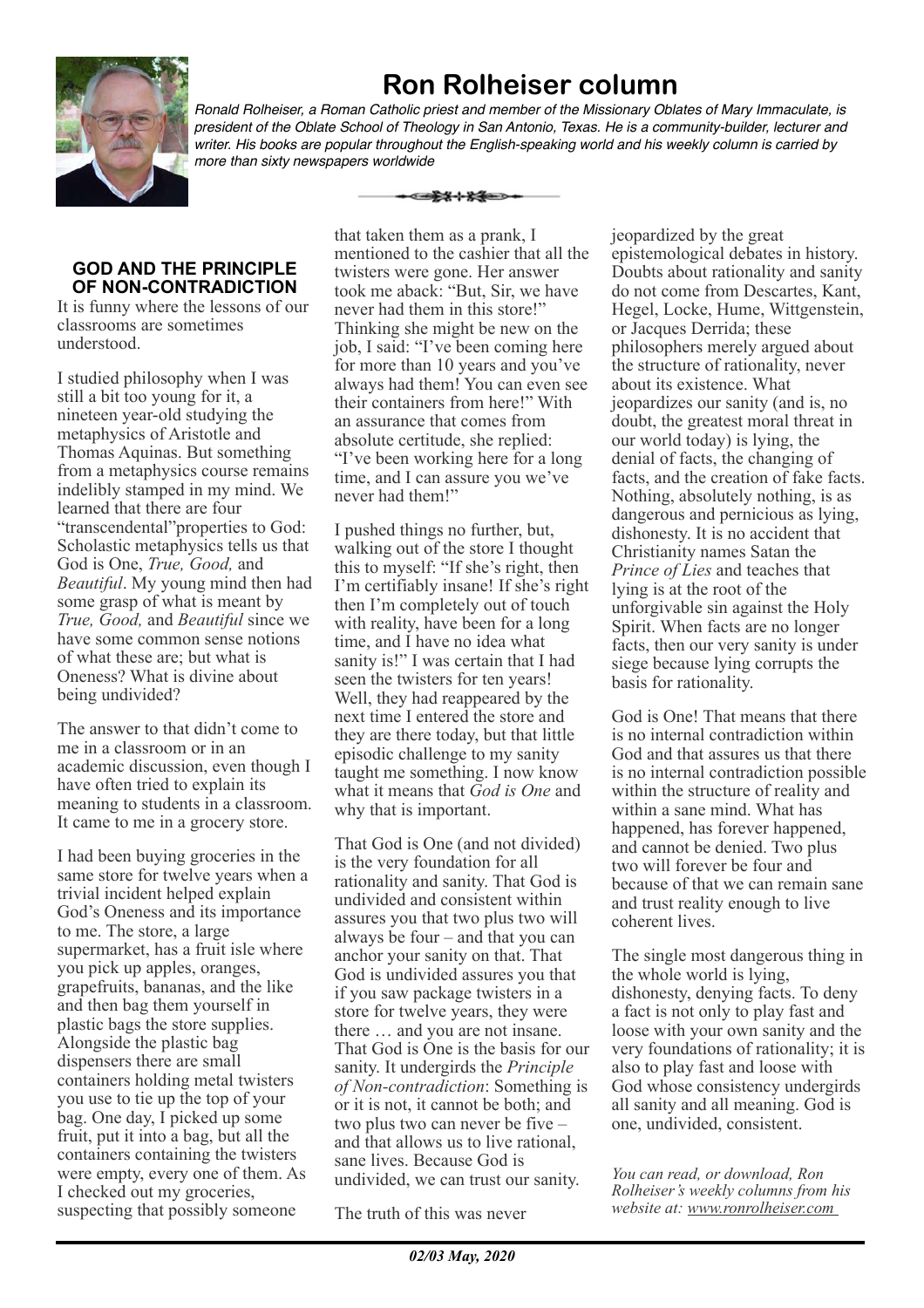## **Ron Rolheiser column**



*Ronald Rolheiser, a Roman Catholic priest and member of the Missionary Oblates of Mary Immaculate, is president of the Oblate School of Theology in San Antonio, Texas. He is a community-builder, lecturer and writer. His books are popular throughout the English-speaking world and his weekly column is carried by more than sixty newspapers worldwide*

## **GOD AND THE PRINCIPLE OF NON-CONTRADICTION**

It is funny where the lessons of our classrooms are sometimes understood.

I studied philosophy when I was still a bit too young for it, a nineteen year-old studying the metaphysics of Aristotle and Thomas Aquinas. But something from a metaphysics course remains indelibly stamped in my mind. We learned that there are four "transcendental"properties to God: Scholastic metaphysics tells us that God is One, *True, Good,* and *Beautiful*. My young mind then had some grasp of what is meant by *True, Good,* and *Beautiful* since we have some common sense notions of what these are; but what is Oneness? What is divine about being undivided?

The answer to that didn't come to me in a classroom or in an academic discussion, even though I have often tried to explain its meaning to students in a classroom. It came to me in a grocery store.

I had been buying groceries in the same store for twelve years when a trivial incident helped explain God's Oneness and its importance to me. The store, a large supermarket, has a fruit isle where you pick up apples, oranges, grapefruits, bananas, and the like and then bag them yourself in plastic bags the store supplies. Alongside the plastic bag dispensers there are small containers holding metal twisters you use to tie up the top of your bag. One day, I picked up some fruit, put it into a bag, but all the containers containing the twisters were empty, every one of them. As I checked out my groceries, suspecting that possibly someone

that taken them as a prank, I mentioned to the cashier that all the twisters were gone. Her answer took me aback: "But, Sir, we have never had them in this store!" Thinking she might be new on the job, I said: "I've been coming here for more than 10 years and you've always had them! You can even see their containers from here!" With an assurance that comes from absolute certitude, she replied: "I've been working here for a long time, and I can assure you we've never had them!"

 $-11$ 

I pushed things no further, but, walking out of the store I thought this to myself: "If she's right, then I'm certifiably insane! If she's right then I'm completely out of touch with reality, have been for a long time, and I have no idea what sanity is!" I was certain that I had seen the twisters for ten years! Well, they had reappeared by the next time I entered the store and they are there today, but that little episodic challenge to my sanity taught me something. I now know what it means that *God is One* and why that is important.

That God is One (and not divided) is the very foundation for all rationality and sanity. That God is undivided and consistent within assures you that two plus two will always be four – and that you can anchor your sanity on that. That God is undivided assures you that if you saw package twisters in a store for twelve years, they were there … and you are not insane. That God is One is the basis for our sanity. It undergirds the *Principle of Non-contradiction*: Something is or it is not, it cannot be both; and two plus two can never be five – and that allows us to live rational, sane lives. Because God is undivided, we can trust our sanity.

The truth of this was never

jeopardized by the great epistemological debates in history. Doubts about rationality and sanity do not come from Descartes, Kant, Hegel, Locke, Hume, Wittgenstein, or Jacques Derrida; these philosophers merely argued about the structure of rationality, never about its existence. What jeopardizes our sanity (and is, no doubt, the greatest moral threat in our world today) is lying, the denial of facts, the changing of facts, and the creation of fake facts. Nothing, absolutely nothing, is as dangerous and pernicious as lying, dishonesty. It is no accident that Christianity names Satan the *Prince of Lies* and teaches that lying is at the root of the unforgivable sin against the Holy Spirit. When facts are no longer facts, then our very sanity is under siege because lying corrupts the basis for rationality.

God is One! That means that there is no internal contradiction within God and that assures us that there is no internal contradiction possible within the structure of reality and within a sane mind. What has happened, has forever happened, and cannot be denied. Two plus two will forever be four and because of that we can remain sane and trust reality enough to live coherent lives.

The single most dangerous thing in the whole world is lying, dishonesty, denying facts. To deny a fact is not only to play fast and loose with your own sanity and the very foundations of rationality; it is also to play fast and loose with God whose consistency undergirds all sanity and all meaning. God is one, undivided, consistent.

*You can read, or download, Ron Rolheiser's weekly columns from his website at: www.ronrolheiser.com*